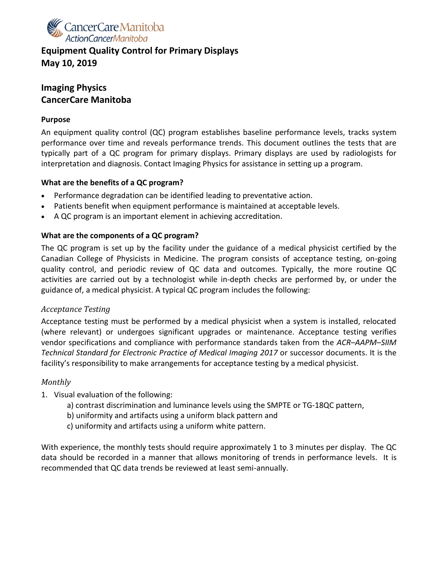

### **Equipment Quality Control for Primary Displays May 10, 2019**

### **Imaging Physics CancerCare Manitoba**

### **Purpose**

An equipment quality control (QC) program establishes baseline performance levels, tracks system performance over time and reveals performance trends. This document outlines the tests that are typically part of a QC program for primary displays. Primary displays are used by radiologists for interpretation and diagnosis. Contact Imaging Physics for assistance in setting up a program.

### **What are the benefits of a QC program?**

- Performance degradation can be identified leading to preventative action.
- Patients benefit when equipment performance is maintained at acceptable levels.
- A QC program is an important element in achieving accreditation.

### **What are the components of a QC program?**

The QC program is set up by the facility under the guidance of a medical physicist certified by the Canadian College of Physicists in Medicine. The program consists of acceptance testing, on-going quality control, and periodic review of QC data and outcomes. Typically, the more routine QC activities are carried out by a technologist while in-depth checks are performed by, or under the guidance of, a medical physicist. A typical QC program includes the following:

### *Acceptance Testing*

Acceptance testing must be performed by a medical physicist when a system is installed, relocated (where relevant) or undergoes significant upgrades or maintenance. Acceptance testing verifies vendor specifications and compliance with performance standards taken from the *ACR–AAPM–SIIM Technical Standard for Electronic Practice of Medical Imaging 2017* or successor documents. It is the facility's responsibility to make arrangements for acceptance testing by a medical physicist.

#### *Monthly*

- 1. Visual evaluation of the following:
	- a) contrast discrimination and luminance levels using the SMPTE or TG-18QC pattern,
	- b) uniformity and artifacts using a uniform black pattern and
	- c) uniformity and artifacts using a uniform white pattern.

With experience, the monthly tests should require approximately 1 to 3 minutes per display. The QC data should be recorded in a manner that allows monitoring of trends in performance levels. It is recommended that QC data trends be reviewed at least semi-annually.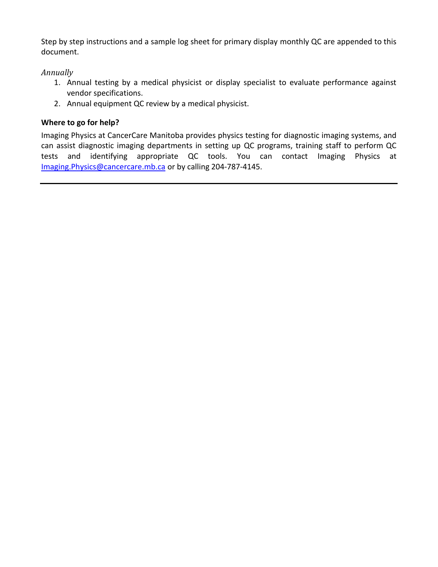Step by step instructions and a sample log sheet for primary display monthly QC are appended to this document.

### *Annually*

- 1. Annual testing by a medical physicist or display specialist to evaluate performance against vendor specifications.
- 2. Annual equipment QC review by a medical physicist.

### **Where to go for help?**

Imaging Physics at CancerCare Manitoba provides physics testing for diagnostic imaging systems, and can assist diagnostic imaging departments in setting up QC programs, training staff to perform QC tests and identifying appropriate QC tools. You can contact Imaging Physics at [Imaging.Physics@cancercare.mb.ca](mailto:Imaging.Physics@cancercare.mb.ca) or by calling 204-787-4145.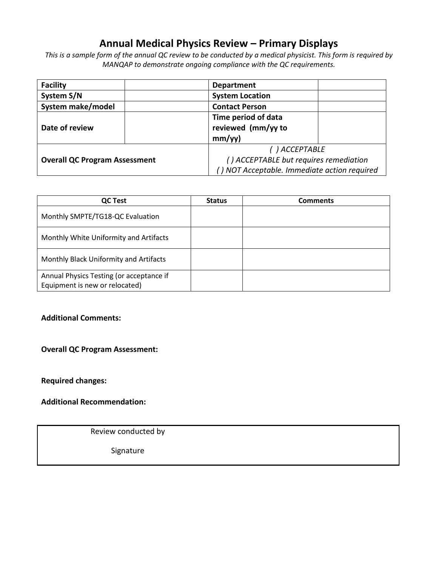# **Annual Medical Physics Review – Primary Displays**

*This is a sample form of the annual QC review to be conducted by a medical physicist. This form is required by MANQAP to demonstrate ongoing compliance with the QC requirements.* 

| <b>Facility</b>                      | <b>Department</b>                            |  |  |  |
|--------------------------------------|----------------------------------------------|--|--|--|
| System S/N                           | <b>System Location</b>                       |  |  |  |
| System make/model                    | <b>Contact Person</b>                        |  |  |  |
|                                      | Time period of data                          |  |  |  |
| Date of review                       | reviewed (mm/yy to                           |  |  |  |
|                                      | mm/yy)                                       |  |  |  |
|                                      | ( ) ACCEPTABLE                               |  |  |  |
| <b>Overall QC Program Assessment</b> | () ACCEPTABLE but requires remediation       |  |  |  |
|                                      | () NOT Acceptable. Immediate action required |  |  |  |

| <b>QC Test</b>                                                             | <b>Status</b> | <b>Comments</b> |
|----------------------------------------------------------------------------|---------------|-----------------|
| Monthly SMPTE/TG18-QC Evaluation                                           |               |                 |
| Monthly White Uniformity and Artifacts                                     |               |                 |
| Monthly Black Uniformity and Artifacts                                     |               |                 |
| Annual Physics Testing (or acceptance if<br>Equipment is new or relocated) |               |                 |

#### **Additional Comments:**

#### **Overall QC Program Assessment:**

**Required changes:**

**Additional Recommendation:**

Review conducted by

Signature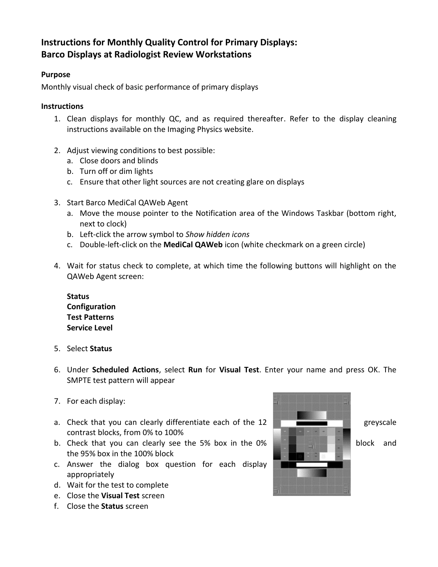# **Instructions for Monthly Quality Control for Primary Displays: Barco Displays at Radiologist Review Workstations**

### **Purpose**

Monthly visual check of basic performance of primary displays

### **Instructions**

- 1. Clean displays for monthly QC, and as required thereafter. Refer to the display cleaning instructions available on the Imaging Physics website.
- 2. Adjust viewing conditions to best possible:
	- a. Close doors and blinds
	- b. Turn off or dim lights
	- c. Ensure that other light sources are not creating glare on displays
- 3. Start Barco MediCal QAWeb Agent
	- a. Move the mouse pointer to the Notification area of the Windows Taskbar (bottom right, next to clock)
	- b. Left-click the arrow symbol to *Show hidden icons*
	- c. Double-left-click on the **MediCal QAWeb** icon (white checkmark on a green circle)
- 4. Wait for status check to complete, at which time the following buttons will highlight on the QAWeb Agent screen:

**Status Configuration Test Patterns Service Level**

- 5. Select **Status**
- 6. Under **Scheduled Actions**, select **Run** for **Visual Test**. Enter your name and press OK. The SMPTE test pattern will appear
- 7. For each display:
- a. Check that you can clearly differentiate each of the  $12$  greyscale contrast blocks, from 0% to 100%
- b. Check that you can clearly see the 5% box in the 0% **block**  $\frac{1}{2}$  block and the 95% box in the 100% block
- c. Answer the dialog box question for each display appropriately
- d. Wait for the test to complete
- e. Close the **Visual Test** screen
- f. Close the **Status** screen

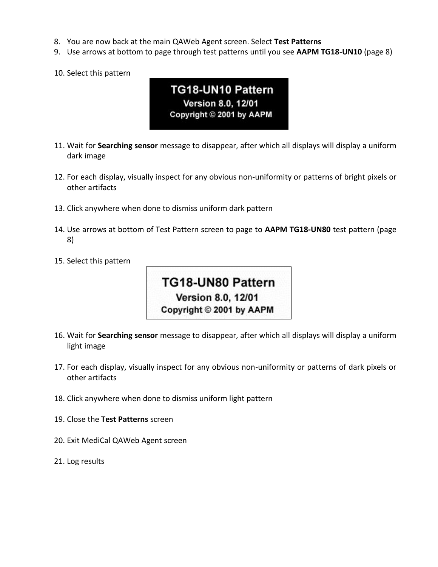- 8. You are now back at the main QAWeb Agent screen. Select **Test Patterns**
- 9. Use arrows at bottom to page through test patterns until you see **AAPM TG18-UN10** (page 8)
- 10. Select this pattern

# TG18-UN10 Pattern Version 8.0, 12/01 Copyright © 2001 by AAPM

- 11. Wait for **Searching sensor** message to disappear, after which all displays will display a uniform dark image
- 12. For each display, visually inspect for any obvious non-uniformity or patterns of bright pixels or other artifacts
- 13. Click anywhere when done to dismiss uniform dark pattern
- 14. Use arrows at bottom of Test Pattern screen to page to **AAPM TG18-UN80** test pattern (page 8)
- 15. Select this pattern



- 16. Wait for **Searching sensor** message to disappear, after which all displays will display a uniform light image
- 17. For each display, visually inspect for any obvious non-uniformity or patterns of dark pixels or other artifacts
- 18. Click anywhere when done to dismiss uniform light pattern
- 19. Close the **Test Patterns** screen
- 20. Exit MediCal QAWeb Agent screen
- 21. Log results